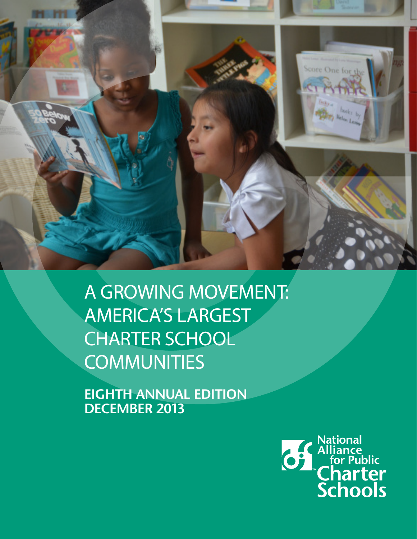

A GROWING MOVEMENT: AMERICA'S LARGEST CHARTER SCHOOL **COMMUNITIES** 

**EIGHTH ANNUAL EDITION DECEMBER 2013**

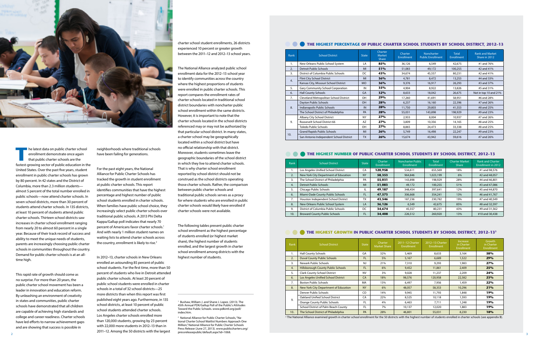

**The latest data on public charter school<br>
enrollment demonstrate once again<br>
that public charter schools are the<br>
factor growing sostar of public oducation in the** enrollment demonstrate once again that public charter schools are the fastest-growing sector of public education in the United States. Over the past fve years, student enrollment in public charter schools has grown by 80 percent. In 42 states and the District of Columbia, more than 2.3 million students almost 5 percent of the total number enrolled in public schools—now attend charter schools. In seven school districts, more than 30 percent of students attend charter schools. In 135 districts, at least 10 percent of students attend public charter schools. Thirteen school districts saw increases in charter school enrollment ranging from nearly 20 to almost 60 percent in a single year. Because of their track record of success and ability to meet the unique needs of students, parents are increasingly choosing public charter schools in communities throughout the country. Demand for public charter schools is at an alltime high.

This rapid rate of growth should come as no surprise. For more than 20 years, the public charter school movement has been a leader in innovation and education reform. By unleashing an environment of creativity in states and communities, public charter schools have demonstrated that all children are capable of achieving high standards and college and career readiness. Charter schools have led efforts to narrow achievement gaps and are showing that success is possible in

| Rank | <b>School District</b>                  | <b>State</b> | <b>Charter</b><br><b>Market</b><br><b>Share</b> | Charter<br><b>Enrollment</b> | Noncharter<br><b>Public Enrollment</b> | <b>Total</b><br><b>Enrollment</b> |                       | <b>Rank and Market</b><br>Share in 2012 |
|------|-----------------------------------------|--------------|-------------------------------------------------|------------------------------|----------------------------------------|-----------------------------------|-----------------------|-----------------------------------------|
| 1.   | New Orleans Public School System        | LA           | 85%                                             | 36,126                       | 6,549                                  | 42,675                            | #1 and 76%            |                                         |
| 2.   | <b>Detroit Public Schools</b>           | MI           | 51%                                             | 51,083                       | 49,172                                 | 100,255                           | #2 and 41%            |                                         |
| 3.   | District of Columbia Public Schools     | DC           | 43%                                             | 34,674                       | 45,557                                 | 80,231                            | #2 and 41%            |                                         |
| 4.   | <b>Flint City School District</b>       | MI           | 36%                                             | 4,781                        | 8,472                                  | 13,253                            | #4 and 33%            |                                         |
|      | Kansas City, Missouri School District   | <b>MO</b>    | 36%                                             | 9,376                        | 16,917                                 | 26,293                            | #3 and 37%            |                                         |
| 5.   | Gary Community School Corporation       | IN           | 35%                                             | 4,904                        | 8,922                                  | 13,826                            | #5 and 31%            |                                         |
| 6.   | <b>Hall County Schools</b>              | GA           | 32%                                             | 8,633                        | 18,042                                 | 26,675                            | Not in top 10 and 21% |                                         |
| 7.   | Cleveland Metropolitan School District  | OH           | 29%                                             | 17,260                       | 41,691                                 | 58,951                            | #6 and 28%            |                                         |
|      | Dayton Public Schools                   | OH           | 28%                                             | 6,237                        | 16,160                                 | 22,396                            | #7 and 26%            |                                         |
| 8.   | Indianapolis Public Schools             | IN           | 28%                                             | 11,750                       | 29,803                                 | 41,553                            | #8 and 25%            |                                         |
|      | The School District of Philadelphia     | PA           | 28%                                             | 55,031                       | 143,898                                | 198,929                           | #9 and 23%            |                                         |
|      | Albany City School District             | <b>NY</b>    | 27%                                             | 2,933                        | 8,004                                  | 10,937                            | #7 and 26%            |                                         |
| 9.   | Roosevelt School District 66            | AZ           | 27%                                             | 3,809                        | 10,356                                 | 14,165                            | #8 and 25%            |                                         |
|      | Toledo Public Schools                   | OH           | 27%                                             | 8,865                        | 24,473                                 | 33,338                            | #8 and 25%            |                                         |
|      | <b>Grand Rapids Public Schools</b>      | MI           | 26%                                             | 5,749                        | 16,498                                 | 22,247                            | #9 and 23%            |                                         |
| 10.  | San Antonio Independent School District | <b>TX</b>    | 26%                                             | 15,674                       | 43,942                                 | 59,616                            | #7 and 26%            |                                         |

#### **THE HIGHEST NUMBER OF PUBLIC CHARTER SCHOOL STUDENTS BY SCHOOL DISTRICT, 2012-13**

For the past eight years, the National Alliance for Public Charter Schools has tracked the growth in student enrollment at public charter schools. This report identifes communities that have the highest percentage and highest number of public school students enrolled in charter schools. When families have public school choice, they increasingly select public charter schools over traditional public schools. A 2013 Phi Delta Kappa/Gallup poll indicates that nearly 70 percent of Americans favor charter schools.<sup>1</sup> And with nearly 1 million student names on waiting lists to attend charter schools across the country, enrollment is likely to rise.<sup>2</sup>

| Rank | <b>School District</b>                | <b>State</b> | Charter<br><b>Enrollment</b> | Noncharter Public<br>Enrollment | <b>Total</b><br><b>Enrollment</b> | <b>Charter Market</b><br><b>Share</b> | <b>Rank and Charter</b><br>Enrollment in 2012 |
|------|---------------------------------------|--------------|------------------------------|---------------------------------|-----------------------------------|---------------------------------------|-----------------------------------------------|
| ъ.   | Los Angeles Unified School District   | CA           | 120.958                      | 534.611                         | 655,569                           | 18%                                   | #1 and 98.576                                 |
| 2.   | New York City Department of Education | <b>NY</b>    | 58.353                       | 964.846                         | 1.023.199                         | 6%                                    | #2 and 48.057                                 |
| 3.   | The School District of Philadelphia   | PA           | 55.031                       | 143.898                         | 198.929                           | 28%                                   | #4 and 46.801                                 |
| 4.   | Detroit Public Schools                | MI           | 51.083                       | 49,172                          | 100,255                           | 51%                                   | #3 and 47,086                                 |
| 5.   | Chicago Public Schools                | IL           | 49.187                       | 348,454                         | 397.641                           | 12%                                   | #5 and 44,870                                 |
| 6.   | Miami-Dade County Public Schools      | <b>FL</b>    | 47.573                       | 306.668                         | 354,241                           | 13%                                   | #6 and 41.767                                 |
| 7.   | Houston Independent School District   | <b>TX</b>    | 43.546                       | 187,236                         | 230,782                           | 19%                                   | #7 and 40.549                                 |
| 8.   | New Orleans Public School System      | LA           | 36,126                       | 6.549                           | 42,675                            | 85%                                   | #8 and 32,597                                 |
| 9.   | District of Columbia Public Schools   | DC           | 34.674                       | 45.557                          | 80.231                            | 43%                                   | #9 and 31.562                                 |
| 10.  | <b>Broward County Public Schools</b>  | <b>FL</b>    | 34,408                       | 226,512                         | 260,920                           | 13%                                   | #10 and 30.438                                |

#### **THE HIGHEST GROWTH IN PUBLIC CHARTER SCHOOL STUDENTS BY SCHOOL DISTRICT, 2012-13<sup>3</sup>**

| Rank | <b>School District</b>                    | <b>State</b> | Charter<br><b>Market Share</b> | 2011-12 Charter<br>Enrollment | 2012-13 Charter<br><b>Enrollment</b> | <b>Increase</b><br>in Charter<br>Enrollment | Growth<br>in Charter<br><b>Enrollment</b> |
|------|-------------------------------------------|--------------|--------------------------------|-------------------------------|--------------------------------------|---------------------------------------------|-------------------------------------------|
| 1.   | <b>Hall County Schools</b>                | GA           | 32%                            | 5.469                         | 8.633                                | 3.164                                       | 58%                                       |
| 2.   | <b>Duval County Public Schools</b>        | FL.          | 5%                             | 5,167                         | 6,689                                | 1,522                                       | <b>29%</b>                                |
| 3.   | Newark Public Schools                     | <b>NJ</b>    | 21%                            | 7,310                         | 9,293                                | 1.983                                       | 27%                                       |
| 4.   | <b>Hillsborough County Public Schools</b> | FL.          | 6%                             | 9,452                         | 11,861                               | 2,409                                       | 25%                                       |
| 5.   | <b>Clark County School District</b>       | <b>NV</b>    | 3%                             | 9.028                         | 11,237                               | 2,209                                       | 24%                                       |
| 6.   | Los Angeles Unified School District       | CA           | 18%                            | 98,576                        | 120,958                              | 22,382                                      | <b>23%</b>                                |
| 7.   | <b>Boston Public Schools</b>              | MA           | 13%                            | 6.497                         | 7.956                                | 1,459                                       | 22%                                       |
| 8.   | New York City Department of Education     | <b>NY</b>    | 6%                             | 48.057                        | 58,353                               | 10.296                                      | 21%                                       |
|      | Denver Public Schools                     | CO           | 14%                            | 9,945                         | 11,793                               | 1,848                                       | 19%                                       |
| 9.   | Oakland Unified School District           | CA           | 22%                            | 8.525                         | 10.118                               | 1,593                                       | 19%                                       |
|      | <b>Orange County Public Schools</b>       | FL.          | 4%                             | 6.463                         | 7.711                                | 1,248                                       | 19%                                       |
|      | School District of Palm Beach County      | FL.          | 7%                             | 10,137                        | 12,020                               | 1,883                                       | 19%                                       |
| 10.  | The School District of Philadelphia       | PA           | 28%                            | 46,801                        | 55,031                               | 8,230                                       | 18%                                       |

<sup>3</sup> The National Alliance examined growth in charter school enrollment for the 50 districts with the highest number of students enrolled in charter schools (see appendix B).

2 3 2 National Alliance for Public Charter Schools, "National Charter School Waitlist Numbers Approach One Million," National Alliance for Public Charter Schools Press Release (June 27, 2013). www.publiccharters.org/ pressreleasepublic/default.aspx?id=1068.

#### **THE HIGHEST PERCENTAGE OF PUBLIC CHARTER SCHOOL STUDENTS BY SCHOOL DISTRICT, 2012-13**

neighborhoods where traditional schools have been failing for generations.

In 2012–13, charter schools in New Orleans enrolled an astounding 85 percent of public school students. For the frst time, more than 50 percent of students who live in Detroit attended public charter schools. At least 20 percent of public school students were enrolled in charter schools in a total of 32 school districts—25 more districts than when this report was frst published eight years ago. Furthermore, in 135 school districts, at least 10 percent of public school students attended charter schools. Los Angeles charter schools enrolled more than 120,000 students, growing by 23 percent with 22,000 more students in 2012–13 than in 2011–12. Among the 50 districts with the largest charter school student enrollments, 26 districts experienced 10 percent or greater growth between the 2011–12 and 2012–13 school years.

The National Alliance analyzed public school enrollment data for the 2012–13 school year to identify communities across the country where the highest proportions of students were enrolled in public charter schools. This report compares the enrollment rates of charter schools located in traditional school district boundaries with noncharter public school enrollment within the same districts. However, it is important to note that the charter schools located in the school districts referenced may or may not be authorized by that particular school district. In many states, a charter school may be geographically located within a school district but have no official relationship with that district. Moreover, students sometimes leave the geographic boundaries of the school district in which they live to attend charter schools. That is why charter school enrollment reported by school district should not be construed as the school districts operating those charter schools. Rather, the comparison between public charter schools and traditional public schools serves as a proxy for where students who are enrolled in public charter schools would likely have enrolled if charter schools were not available.

The following tables present public charter school enrollment as the highest percentage of students enrolled (or highest market share), the highest number of students enrolled, and the largest growth in charter school enrollment among districts with the highest number of students.

1 Bushaw, William J. and Shane J. Lopez. (2013). The 45th Annual PDK/Gallup Poll of the Public's Attitudes Toward the Public Schools. www.pdkintl.org/poll/ index.htm.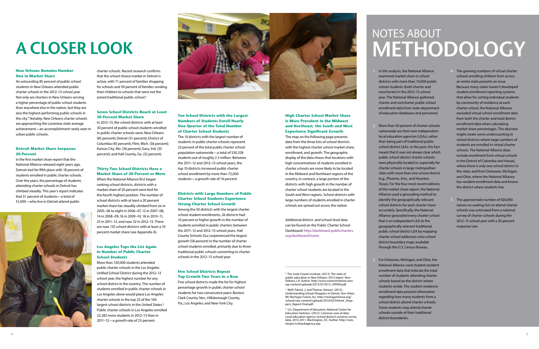#### **New Orleans Remains Number One in Market Share**

An astounding 85 percent of public school students in New Orleans attended public charter schools in the 2012–13 school year. Not only are charters in New Orleans serving a higher percentage of public school students than anywhere else in the nation, but they are also the highest-performing public schools in the city.4 Notably, New Orleans charter schools are approaching the Louisiana state average achievement—an accomplishment rarely seen in urban public schools.

#### **Detroit Market Share Surpasses 50 Percent**

In the frst market share report that the National Alliance released eight years ago, Detroit tied for ffth place with 18 percent of students enrolled in public charter schools. Over the years, the percentage of students attending charter schools in Detroit has climbed steadily. This year's report indicates that 51 percent of students—a total of 51,000—who live in Detroit attend public



More than 50 percent of charter schools nationwide are their own independent local education agencies (LEAs), rather than being part of traditional public school district LEAs. In the past, this fact meant that it was not always clear which public school district charter schools were physically located in, especially for charter schools in large metropolitan cities with more than one school district (e.g., Phoenix, Ariz., and Houston, Texas). For the four most recent editions of the market share report, the National Alliance used a geocoding method to identify the geographically relevant school districts for each charter more accurately. Specifcally, the National Alliance geocoded every charter school that is an independent LEA to the geographically relevant traditional public school district LEA by mapping charter school addresses onto school district boundary maps available through the U.S. Census Bureau.

1. In this analysis, the National Alliance examined market share in school districts with more than 10,000 public school students (both charter and noncharter) in the 2012–13 school year. The National Alliance gathered charter and noncharter public school enrollment data from state department of education databases and personnel.

charter schools. Recent research confrms that the school choice market in Detroit is active, with 71 percent of families shopping for schools and 59 percent of families sending their children to schools that were not the zoned traditional public school.<sup>5</sup>

> 3. For Delaware, Michigan, and Ohio, the National Alliance used student resident enrollment data that indicate the total number of students attending charter schools based on the district where students reside. The student residence enrollment data present information regarding how many students from a school district attend charter schools. Some students may attend charter schools outside of their traditional

- 
- 
- district boundaries.

4. The growing numbers of virtual charter schools enrolling children from across an entire state presents an issue. Because many states haven't developed student enrollment reporting systems that allow for sorting individual students by community of residence at each charter school, the National Alliance excluded virtual school enrollment data from both the charter and total district enrollment data when calculating market share percentages. This decision might create some undercounting in school districts where large numbers of students are enrolled in virtual charter schools. The National Alliance does include enrollment from virtual schools in the District of Columbia and Hawaii, where there is only one school district in the state, and from Delaware, Michigan, and Ohio, where the National Alliance has resident enrollment data and knows the district where students live.

#### **High Charter School Market Share Is More Prevalent in the Midwest and Northeast; the South and West Experience Significant Growth**

5. The approximate number of 920,000 names on waiting lists to attend charter schools was estimated from a national survey of charter schools during the 2012–13 school year with a 30 percent response rate.

## NOTES ABOUT **METHODOLOGY**

#### **Seven School Districts Reach at Least 30 Percent Market Share**

In 2012–13, the school districts with at least 30 percent of public school students enrolled in public charter schools were: New Orleans (85 percent); Detroit (51 percent); District of Columbia (43 percent); Flint, Mich. (36 percent); Kansas City, Mo. (36 percent); Gary, Ind. (35 percent); and Hall County, Ga. (32 percent).

#### **Thirty-Two School Districts Have a Market Share of 20 Percent or More**

When the National Alliance frst began ranking school districts, districts with a market share of 20 percent were tied for the fourth highest position. The number of school districts with at least a 20 percent market share has steadily climbed from six in 2005–06 to eight in 2006–07, 12 in 2007–08, 14 in 2008–09, 16 in 2009–10, 18 in 2010–11, 25 in 2011–12, and now 32 in 2012–13. There are now 135 school districts with at least a 10 percent market share (see Appendix A).

#### **Los Angeles Tops the List Again in Number of Public Charter School Students**

More than 120,000 students attended public charter schools in the Los Angeles Unifed School District during the 2012–13 school year, the highest number for any school district in the country. The number of students enrolled in public charter schools in Los Angeles alone would place Los Angeles charter schools in the top 25 of the 100 largest school districts in the United States.<sup>6</sup> Public charter schools in Los Angeles enrolled 22,382 more students in 2012–13 than in 2011–12—a growth rate of 23 percent.



#### **Ten School Districts with the Largest Numbers of Students Enroll Nearly One-Quarter of the Total Number of Charter School Students**

The 10 districts with the largest number of students in public charter schools represent 23 percent of the total public charter school population nationwide—a total of 530,328 students out of roughly 2.3 million. Between the 2011–12 and 2012–13 school years, the top 10 districts increased public charter school enrollment by more than 72,000 students—a growth rate of 16 percent.

#### **Districts with Large Numbers of Public Charter School Students Experience Strong Charter School Growth**

Among the 50 districts with the largest charter school student enrollments, 26 districts had 10 percent or higher growth in the number of students enrolled in public charters between the 2011–12 and 2012–13 school years. Hall County Schools (Ga.) experienced the largest growth (58 percent) in the number of charter school students enrolled, primarily due to three traditional public schools converting to charter schools in the 2012–13 school year.

#### **Five School Districts Repeat Top Growth Two Years in a Row**

Five school districts made the list for highest percentage growth in public charter school students for two consecutive years: Boston; Clark County, Nev.; Hillsborough County, Fla.; Los Angeles; and New York City.

# **A CLOSER LOOK**

The map on the following page presents data from the three lists of school districts with the highest charter school market share, enrollment, and growth. The geographic display of the data shows that locations with high concentrations of students enrolled in charter schools are more likely to be located in the Midwest and Northeast regions of the country. In contrast, a large portion of the districts with high growth in the number of charter school students are located in the South and West regions. School districts with large numbers of students enrolled in charter schools are spread out across the nation.

Additional district- and school-level data can be found on the Public Charter School Dashboard: [http://dashboard.publiccharters.](http://dashboard.publiccharters.org/dashboard/home) [org/dashboard/home.](http://dashboard.publiccharters.org/dashboard/home)

4 The Scott Cowen Institute. (2013). The state of public education in New Orleans: 2013 report. New Orleans, LA: Author. http://www.coweninstitute.com/ wp-content/uploads/2013/07/2013\_SPENO.pdf.

5 Wolf, Patrick .J. and Thomas Stewart. (2012). Understanding School Shoppers in Detroit. Ann Arbor, MI: Michigan Future, Inc. http://michiganfuture.org/ schools/wp-content/uploads/2010/02/Detroit\_Shoppers\_Report-Final.pdf.

6 U.S. Department of Education, National Center for Education Statistics. (2012). Common core of data: Local education agency (school district) universe survey data, 2010-2011. Washington, DC: Author. http://nces. ed.gov/ccd/pubagency.asp.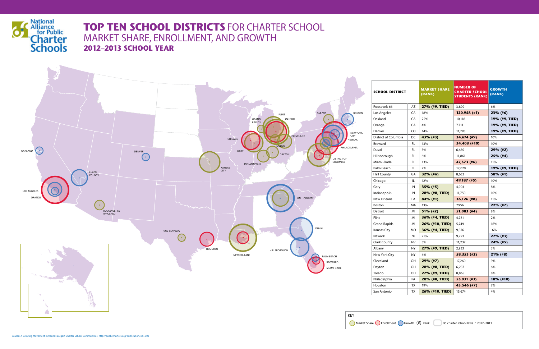

## **TOP TEN SCHOOL DISTRICTS** FOR CHARTER SCHOOL MARKET SHARE, ENROLLMENT, AND GROWTH **2012–2013 SCHOOL YEAR**



| SCHOOL DISTRICT      |           | <b>MARKET SHARE</b><br>(RANK) | <b>NUMBER OF</b><br><b>CHARTER SCHOOL</b><br><b>STUDENTS (RANK)</b> | <b>GROWTH</b><br>(RANK) |  |
|----------------------|-----------|-------------------------------|---------------------------------------------------------------------|-------------------------|--|
| Roosevelt 66         | AZ        | 27% (#9, TIED)                | 3,809                                                               | 6%                      |  |
| Los Angeles          | CA        | 18%                           | 120,958 (#1)                                                        | 23% (#6)                |  |
| Oakland              | CA        | 22%                           | 10,118                                                              | 19% (#9, TIED)          |  |
| Orange               | CA        | 4%                            | 7,711                                                               | 19% (#9, TIED)          |  |
| Denver               | CO        | 14%                           | 11,793                                                              | 19% (#9, TIED)          |  |
| District of Columbia | DC        | 43% (#3)                      | 34,674 (#9)                                                         | 10%                     |  |
| Broward              | FL        | 13%                           | 34,408 (#10)                                                        | 10%                     |  |
| Duval                | FL        | 5%                            | 6,689                                                               | 29% (#2)                |  |
| Hillsborough         | FL        | 6%                            | 11,861                                                              | $25\%$ (#4)             |  |
| Miami-Dade           | FL        | 13%                           | 47,573 (#6)                                                         | 11%                     |  |
| Palm Beach           | FL        | 7%                            | 12,020                                                              | 19% (#9, TIED)          |  |
| Hall County          | GA        | $32\%$ (#6)                   | 8,633                                                               | 58% (#1)                |  |
| Chicago              | IL        | 12%                           | 49,187 (#5)                                                         | 10%                     |  |
| Gary                 | IN        | $35\%$ (#5)                   | 4,904                                                               | 8%                      |  |
| Indianapolis         | IN        | 28% (#8, TIED)                | 11,750                                                              | 10%                     |  |
| New Orleans          | LA        | $84\%$ (#1)                   | 36,126 (#8)                                                         | 11%                     |  |
| Boston               | МA        | 13%                           | 7,956                                                               | $22\%$ (#7)             |  |
| Detroit              | MI        | $51\%$ (#2)                   | 51,083 (#4)                                                         | 8%                      |  |
| Flint                | MI        | 36% (#4, TIED)                | 4,781                                                               | 2%                      |  |
| Grand Rapids         | MI        | 26% (#10, TIED)               | 5,749                                                               | 16%                     |  |
| Kansas City          | МO        | 36% (#4, TIED)                | 9,376                                                               | $-6%$                   |  |
| Newark               | NJ        | 21%                           | 9,293                                                               | $27\%$ (#3)             |  |
| <b>Clark County</b>  | NV        | 3%                            | 11,237                                                              | 24% (#5)                |  |
| Albany               | ΝY        | 27% (#9, TIED)                | 2,933                                                               | 3%                      |  |
| New York City        | <b>NY</b> | 6%                            | 58,353 (#2)                                                         | $21\%$ (#8)             |  |
| Cleveland            | OΗ        | 29% (#7)                      | 17,260                                                              | 9%                      |  |
| Dayton               | OΗ        | 28% (#8, TIED)                | 6,237                                                               | 6%                      |  |
| Toledo               | OΗ        | 27% (#9, TIED)                | 8,865                                                               | 8%                      |  |
| Philadelphia         | PA        | 28% (#8, TIED)                | 55,031 (#3)                                                         | 18% (#10)               |  |
| Houston              | ТX        | 19%                           | 43,546 (#7)                                                         | 7%                      |  |
| San Antonio          | TX        | 26% (#10, TIED)               | 15,674                                                              | 4%                      |  |

Market Share Enrollment Growth (#) Rank No charter school laws in 2012 -2013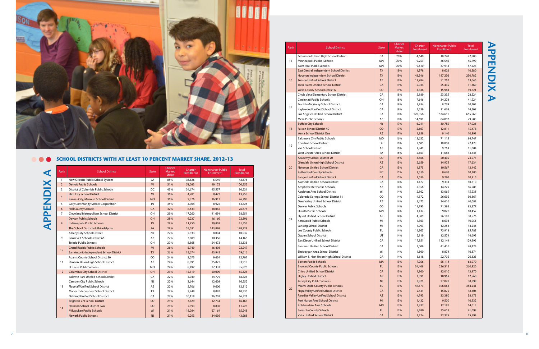| <b>APPENDIX A</b> | Rank            | <b>School District</b>                      | <b>State</b> | Charter<br><b>Market</b><br>Share | Charter<br>Enrollment | <b>Noncharter Public</b><br>Enrollment | <b>Total</b><br><b>Enrollment</b> |
|-------------------|-----------------|---------------------------------------------|--------------|-----------------------------------|-----------------------|----------------------------------------|-----------------------------------|
|                   | $\mathbf{1}$    | New Orleans Public School System            | LA           | 85%                               | 36,126                | 6,549                                  | 42,675                            |
|                   | $\overline{2}$  | <b>Detroit Public Schools</b>               | MI           | 51%                               | 51,083                | 49,172                                 | 100,255                           |
|                   | 3               | District of Columbia Public Schools         | DC           | 43%                               | 34,674                | 45,557                                 | 80,231                            |
|                   | $\overline{4}$  | <b>Flint City School District</b>           | MI           | 36%                               | 4,781                 | 8,472                                  | 13,253                            |
|                   |                 | Kansas City, Missouri School District       | <b>MO</b>    | 36%                               | 9,376                 | 16,917                                 | 26,293                            |
|                   | 5               | <b>Gary Community School Corporation</b>    | IN           | 35%                               | 4,904                 | 8,922                                  | 13,826                            |
|                   | 6               | <b>Hall County Schools</b>                  | GA           | 32%                               | 8,633                 | 18,042                                 | 26,675                            |
|                   | $\overline{7}$  | Cleveland Metropolitan School District      | OH           | 29%                               | 17,260                | 41,691                                 | 58,951                            |
|                   |                 | <b>Dayton Public Schools</b>                | OH           | 28%                               | 6,237                 | 16,160                                 | 22,396                            |
|                   | 8               | Indianapolis Public Schools                 | IN           | 28%                               | 11,750                | 29,803                                 | 41,553                            |
|                   |                 | The School District of Philadelphia         | PA           | 28%                               | 55,031                | 143,898                                | 198,929                           |
|                   |                 | Albany City School District                 | <b>NY</b>    | 27%                               | 2,933                 | 8,004                                  | 10,937                            |
|                   | 9               | Roosevelt School District 66                | AZ           | 27%                               | 3,809                 | 10,356                                 | 14,165                            |
|                   |                 | <b>Toledo Public Schools</b>                | OH           | 27%                               | 8,865                 | 24,473                                 | 33,338                            |
|                   | 10 <sup>°</sup> | <b>Grand Rapids Public Schools</b>          | MI           | 26%                               | 5,749                 | 16,498                                 | 22,247                            |
|                   |                 | San Antonio Independent School District     | <b>TX</b>    | 26%                               | 15,674                | 43,942                                 | 59,616                            |
|                   |                 | Adams County School District 50             | CO           | 24%                               | 3,073                 | 9,634                                  | 12,707                            |
|                   | 11              | Phoenix Union High School District          | AZ           | 24%                               | 8,091                 | 25,827                                 | 33,918                            |
|                   |                 | St. Louis Public Schools                    | <b>MO</b>    | 24%                               | 8,492                 | 27,333                                 | 35,825                            |
|                   | 12              | <b>Columbus City School District</b>        | OH           | 23%                               | 15,319                | 50,009                                 | 65,328                            |
|                   |                 | <b>Baldwin Park Unified School District</b> | CA           | 22%                               | 4,049                 | 14,779                                 | 18,828                            |
|                   |                 | Camden City Public Schools                  | <b>NJ</b>    | 22%                               | 3,644                 | 12,608                                 | 16,252                            |
|                   | 13              | Flagstaff Unified School District           | AZ           | 22%                               | 2,706                 | 9,606                                  | 12,312                            |
|                   |                 | Manor Independent School District           | <b>TX</b>    | 22%                               | 2,248                 | 8,087                                  | 10,335                            |
|                   |                 | Oakland Unified School District             | CA           | 22%                               | 10,118                | 36,203                                 | 46,321                            |
|                   |                 | <b>Brighton 27J School District</b>         | CO           | 21%                               | 3,429                 | 12,734                                 | 16,163                            |
|                   | 14              | <b>Harrison School District Two</b>         | CO           | 21%                               | 2,393                 | 8,830                                  | 11,223                            |
|                   |                 | <b>Milwaukee Public Schools</b>             | WI           | 21%                               | 18,084                | 67,164                                 | 85,248                            |
|                   |                 | <b>Newark Public Schools</b>                | NJ           | 21%                               | 9,293                 | 34,695                                 | 43,988                            |

| Rank | <b>School District</b>                         | <b>State</b> | Charter<br>Market<br>Share | Charter<br><b>Enrollment</b> | <b>Noncharter Public</b><br><b>Enrollment</b> | <b>Total</b><br>Enrollmer |
|------|------------------------------------------------|--------------|----------------------------|------------------------------|-----------------------------------------------|---------------------------|
|      | Grossmont Union High School District           | CA           | 20%                        | 4,640                        | 18,240                                        | 22,880                    |
| 15   | Minneapolis Public Schools                     | MN           | 20%                        | 9,253                        | 36,546                                        | 45,799                    |
|      | Saint Paul Public Schools                      | <b>MN</b>    | 20%                        | 9,610                        | 37,913                                        | 47,523                    |
|      | East Central Independent School District       | <b>TX</b>    | 19%                        | 1,978                        | 8,602                                         | 10,580                    |
|      | Houston Independent School District            | <b>TX</b>    | 19%                        | 43,546                       | 187,236                                       | 230,782                   |
| 16   | <b>Tucson Unified School District</b>          | <b>AZ</b>    | 19%                        | 11,784                       | 51,262                                        | 63,046                    |
|      | <b>Twin Rivers Unified School District</b>     | CA           | 19%                        | 5,934                        | 25,435                                        | 31,369                    |
|      | <b>Weld County School District 6</b>           | CO           | 19%                        | 3,838                        | 15,983                                        | 19,821                    |
|      | Chula Vista Elementary School District         | CA           | 18%                        | 5,189                        | 23,335                                        | 28,524                    |
|      | Cincinnati Public Schools                      | OH           | 18%                        | 7,646                        | 34,278                                        | 41,924                    |
| 17   | Franklin-Mckinley School District              | CA           | 18%                        | 1,934                        | 8,769                                         | 10,703                    |
|      | Inglewood Unified School District              | CA           | 18%                        | 2,539                        | 11,668                                        | 14,207                    |
|      | Los Angeles Unified School District            | CA           | 18%                        | 120,958                      | 534,611                                       | 655,569                   |
|      | Mesa Public Schools                            | AZ           | 18%                        | 14,691                       | 64,892                                        | 79,583                    |
|      | <b>Buffalo City Schools</b>                    | <b>NY</b>    | 17%                        | 6,241                        | 30,785                                        | 37,026                    |
| 18   | <b>Falcon School District 49</b>               | CO           | 17%                        | 2,667                        | 12,811                                        | 15,478                    |
|      | Yuma School District One                       | <b>AZ</b>    | 17%                        | 1,858                        | 9,140                                         | 10,998                    |
|      | <b>Baltimore City Public Schools</b>           | <b>MD</b>    | 16%                        | 13,632                       | 71,115                                        | 84,747                    |
| 19   | Christina School District                      | DE           | 16%                        | 3,605                        | 18,818                                        | 22,423                    |
|      | Vail School District                           | AZ           | 16%                        | 1,841                        | 9,763                                         | 11,604                    |
|      | West Chester Area School District              | PA           | 16%                        | 2,163                        | 11,682                                        | 13,845                    |
|      | <b>Academy School District 20</b>              | CO           | 15%                        | 3,568                        | 20,405                                        | 23,973                    |
|      | <b>Glendale Union High School District</b>     | <b>AZ</b>    | 15%                        | 2,659                        | 14,975                                        | 17,634                    |
| 20   | <b>Natomas Unified School District</b>         | CA           | 15%                        | 1,875                        | 10,567                                        | 12,442                    |
|      | <b>Rutherford County Schools</b>               | <b>NC</b>    | 15%                        | 1,510                        | 8,670                                         | 10,180                    |
|      | <b>Sanger Unified School District</b>          | CA           | 15%                        | 1,636                        | 9,280                                         | 10,916                    |
|      | Alameda Unified School District                | CA           | 14%                        | 1,477                        | 9,333                                         | 10,810                    |
|      | Amphitheater Public Schools                    | AZ           | 14%                        | 2,356                        | 14,229                                        | 16,585                    |
|      | Appleton Area School District                  | WI           | 14%                        | 2,162                        | 13,069                                        | 15,231                    |
|      | Colorado Springs School District 11            | CO           | 14%                        | 4,172                        | 26,695                                        | 30,867                    |
|      | Deer Valley Unified School District            | AZ           | 14%                        | 5,472                        | 34,616                                        | 40,088                    |
|      | Denver Public Schools                          | CO           | 14%                        | 11,793                       | 71,584                                        | 83,377                    |
|      | Duluth Public Schools                          | MN           | 14%                        | 1,432                        | 9,020                                         | 10,452                    |
|      | <b>Dysart Unified School District</b>          | AZ           | 14%                        | 4,389                        | 26,187                                        | 30,576                    |
| 21   | Kentwood Public Schools                        | MI           | 14%                        | 1,363                        | 8,693                                         | 10,056                    |
|      | Lansing School District                        | MI           | 14%                        | 1,993                        | 12,253                                        | 14,246                    |
|      | Lee County Public Schools                      | FL.          | 14%                        | 11,865                       | 73,918                                        | 85,783                    |
|      | Ogden School District                          | UT           | 14%                        | 2,119                        | 12,574                                        | 14,693                    |
|      | San Diego Unified School District              | CA           | 14%                        | 17,851                       | 112,144                                       | 129,995                   |
|      | San Juan Unified School District               | CA           | 14%                        | 7,008                        | 41,416                                        | 48,424                    |
|      | Sheboygan Area School District                 | WI           | 14%                        | 1,500                        | 8,874                                         | 10,374                    |
|      | William S. Hart Union High School District     | CA           | 14%                        | 3,618                        | 22,705                                        | 26,323                    |
|      | <b>Boston Public Schools</b>                   | <b>MA</b>    | 13%                        | 7,956                        | 55,114                                        | 63,070                    |
|      | <b>Broward County Public Schools</b>           | FL.          | 13%                        | 34,408                       | 226,512                                       | 260,920                   |
|      | <b>Chico Unified School District</b>           | CA           | 13%                        | 1,860                        | 12,010                                        | 13,870                    |
|      | <b>Higley Unified District</b>                 | <b>AZ</b>    | 13%                        | 1,591                        | 10,969                                        | 12,560                    |
|      | Jersey City Public Schools                     | NJ           | 13%                        | 3,871                        | 27,028                                        | 30,899                    |
|      | Miami-Dade County Public Schools               | FL.          | 13%                        | 47,573                       | 306,668                                       | 354,241                   |
| 22   | Napa Valley Unified School District            | CA           | 13%                        | 2,431                        | 15,875                                        | 18,306                    |
|      | <b>Paradise Valley Unified School District</b> | <b>AZ</b>    | 13%                        | 4,793                        | 33,380                                        | 38,173                    |
|      | Port Huron Area School District                | MI           | 13%                        | 1,432                        | 9,500                                         | 10,932                    |
|      | Robbinsdale Area Schools                       | <b>MN</b>    | 13%                        | 1,832                        | 12,181                                        | 14,013                    |
|      | <b>Sarasota County Schools</b>                 | FL.          | 13%                        | 5,480                        | 35,618                                        | 41,098                    |
|      | Vista Unified School District                  | CA           | 13%                        | 3,224                        | 22,375                                        | 25,599                    |

# **APPENDIX A APPENDIX A**

| <b>School District</b>                | <b>State</b> | Charter<br><b>Market</b><br><b>Share</b> | Charter<br><b>Enrollment</b> | <b>Noncharter Public</b><br><b>Enrollment</b> | <b>Total</b><br><b>Enrollment</b> |
|---------------------------------------|--------------|------------------------------------------|------------------------------|-----------------------------------------------|-----------------------------------|
| nt Union High School District         | CA           | 20%                                      | 4,640                        | 18,240                                        | 22,880                            |
| olis Public Schools                   | MN           | 20%                                      | 9,253                        | 36,546                                        | 45,799                            |
| Il Public Schools                     | MN           | 20%                                      | 9,610                        | 37,913                                        | 47,523                            |
| tral Independent School District      | <b>TX</b>    | 19%                                      | 1,978                        | 8,602                                         | 10,580                            |
| <b>Independent School District</b>    | <b>TX</b>    | 19%                                      | 43,546                       | 187,236                                       | 230,782                           |
| Inified School District               | <b>AZ</b>    | 19%                                      | 11,784                       | 51,262                                        | 63,046                            |
| ers Unified School District           | CA           | 19%                                      | 5,934                        | 25,435                                        | 31,369                            |
| unty School District 6                | CO           | 19%                                      | 3,838                        | 15,983                                        | 19,821                            |
| ta Elementary School District         | CA           | 18%                                      | 5,189                        | 23,335                                        | 28,524                            |
| ti Public Schools                     | OH           | 18%                                      | 7,646                        | 34,278                                        | 41,924                            |
| Mckinley School District              | CA           | 18%                                      | 1,934                        | 8,769                                         | 10,703                            |
| od Unified School District            | CA           | 18%                                      | 2,539                        | 11,668                                        | 14,207                            |
| les Unified School District           | CA           | 18%                                      | 120,958                      | 534,611                                       | 655,569                           |
| blic Schools                          | AZ           | 18%                                      | 14,691                       | 64,892                                        | 79,583                            |
| ity Schools                           | <b>NY</b>    | 17%                                      | 6,241                        | 30,785                                        | 37,026                            |
| hool District 49                      | CO           | 17%                                      | 2,667                        | 12,811                                        | 15,478                            |
| hool District One                     | <b>AZ</b>    | 17%                                      | 1,858                        | 9,140                                         | 10,998                            |
| e City Public Schools                 | MD           | 16%                                      | 13,632                       | 71,115                                        | 84,747                            |
| <b>School District</b>                | DE           | 16%                                      | 3,605                        | 18,818                                        | 22,423                            |
| ol District                           | ΑZ           | 16%                                      | 1,841                        | 9,763                                         | 11,604                            |
| ester Area School District            | PA           | 16%                                      | 2,163                        | 11,682                                        | 13,845                            |
| School District 20                    | CO           | 15%                                      | 3,568                        | 20,405                                        | 23,973                            |
| Union High School District            | <b>AZ</b>    | 15%                                      | 2,659                        | 14,975                                        | 17,634                            |
| Unified School District               | CA           | 15%                                      | 1,875                        | 10,567                                        | 12,442                            |
| rd County Schools                     | <b>NC</b>    | 15%                                      | 1,510                        | 8,670                                         | 10,180                            |
| Inified School District               | CA           | 15%                                      | 1,636                        | 9,280                                         | 10,916                            |
| Unified School District               | CA           | 14%                                      | 1,477                        | 9,333                                         | 10,810                            |
| eater Public Schools                  | AZ           | 14%                                      | 2,356                        | 14,229                                        | 16,585                            |
| Area School District                  | WI           | 14%                                      | 2,162                        | 13,069                                        | 15,231                            |
| Springs School District 11            | CO           | 14%                                      | 4,172                        | 26,695                                        | 30,867                            |
| ey Unified School District            | AZ           | 14%                                      | 5,472                        | 34,616                                        | 40,088                            |
| ublic Schools                         | CO           | 14%                                      | 11,793                       | 71,584                                        | 83,377                            |
| ublic Schools                         | MN           | 14%                                      | 1,432                        | 9,020                                         | 10,452                            |
| nified School District                | AZ           | 14%                                      | 4,389                        | 26,187                                        | 30,576                            |
| d Public Schools                      | MI           | 14%                                      | 1,363                        | 8,693                                         | 10,056                            |
| School District                       | MI           | 14%                                      | 1,993                        | 12,253                                        | 14,246                            |
| nty Public Schools                    | FL           | 14%                                      | 11,865                       | 73,918                                        | 85,783                            |
| chool District                        | UT           | 14%                                      | 2,119                        | 12,574                                        | 14,693                            |
| o Unified School District             | CA           | 14%                                      | 17,851                       | 112,144                                       | 129,995                           |
| Unified School District               | CA           | 14%                                      | 7,008                        | 41,416                                        | 48,424                            |
| an Area School District               | WI           | 14%                                      | 1,500                        | 8,874                                         | 10,374                            |
| . Hart Union High School District     | CA           | 14%                                      | 3,618                        | 22,705                                        | 26,323                            |
| ublic Schools                         | MA           | 13%                                      | 7,956                        | 55,114                                        | 63,070                            |
| <b>County Public Schools</b>          | FL.          | 13%                                      | 34,408                       | 226,512                                       | 260,920                           |
| ified School District                 | CA           | 13%                                      | 1,860                        | 12,010                                        | 13,870                            |
| nified District                       | <b>AZ</b>    | 13%                                      | 1,591                        | 10,969                                        | 12,560                            |
| ty Public Schools                     | <b>NJ</b>    | 13%                                      | 3,871                        | 27,028                                        | 30,899                            |
| ade County Public Schools             | FL.          | 13%                                      | 47,573                       | 306,668                                       | 354,241                           |
| ley Unified School District           | CA           | 13%                                      | 2,431                        | 15,875                                        | 18,306                            |
| <b>Valley Unified School District</b> | <b>AZ</b>    | 13%                                      | 4,793                        | 33,380                                        | 38,173                            |
| on Area School District               | MI           | 13%                                      | 1,432                        | 9,500                                         | 10,932                            |
| dale Area Schools                     | MN           | 13%                                      | 1,832                        | 12,181                                        | 14,013                            |
| <b>County Schools</b>                 | FL.          | 13%                                      | 5,480                        | 35,618                                        | 41,098                            |
| fied School District                  | CA           | 13%                                      | 3,224                        | 22,375                                        | 25,599                            |



### **SCHOOL DISTRICTS WITH AT LEAST 10 PERCENT MARKET SHARE, 2012–13**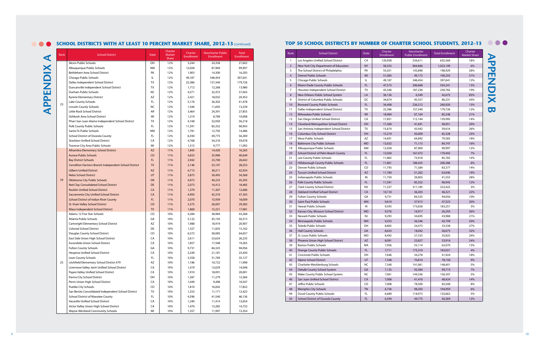| Rank           | <b>School District</b>                  | <b>State</b> | Charter<br>Enrollment | Noncharter<br><b>Public Enrollment</b> | <b>Total Enrollment</b> | Charter<br><b>Market Share</b> |
|----------------|-----------------------------------------|--------------|-----------------------|----------------------------------------|-------------------------|--------------------------------|
| $\mathbf{1}$   | Los Angeles Unified School District     | CA           | 120,958               | 534,611                                | 655,569                 | 18%                            |
| $\overline{2}$ | New York City Department of Education   | <b>NY</b>    | 58,353                | 964,846                                | 1,023,199               | 6%                             |
| 3              | The School District of Philadelphia     | PA           | 55,031                | 143,898                                | 198,929                 | 28%                            |
| $\overline{4}$ | <b>Detroit Public Schools</b>           | MI           | 51,083                | 49,172                                 | 100,255                 | 51%                            |
| 5              | Chicago Public Schools                  | IL           | 49,187                | 348,454                                | 397,641                 | 12%                            |
| 6              | Miami-Dade County Public Schools        | FL           | 47,573                | 306,668                                | 354,241                 | 13%                            |
| 7              | Houston Independent School District     | TX           | 43,546                | 187,236                                | 230,782                 | 19%                            |
| 8              | New Orleans Public School System        | LA           | 36,126                | 6,549                                  | 42.675                  | 85%                            |
| 9              | District of Columbia Public Schools     | DC           | 34,674                | 45,557                                 | 80,231                  | 43%                            |
| 10             | <b>Broward County Public Schools</b>    | FL           | 34,408                | 226,512                                | 260,920                 | 13%                            |
| 11             | Dallas Independent School District      | TX           | 22,386                | 157,340                                | 179,726                 | 12%                            |
| 12             | Milwaukee Public Schools                | WI           | 18,084                | 67,164                                 | 85,248                  | 21%                            |
| 13             | San Diego Unified School District       | CA           | 17,851                | 112,144                                | 129,995                 | 14%                            |
| 14             | Cleveland Metropolitan School District  | OH           | 17,260                | 41,691                                 | 58,951                  | 29%                            |
| 15             | San Antonio Independent School District | TX           | 15,674                | 43,942                                 | 59,616                  | 26%                            |
| 16             | <b>Columbus City School District</b>    | OH           | 15,319                | 50,009                                 | 65,328                  | 23%                            |
| 17             | Mesa Public Schools                     | AZ           | 14,691                | 64,892                                 | 79,583                  | 18%                            |
| 18             | <b>Baltimore City Public Schools</b>    | <b>MD</b>    | 13,632                | 71,115                                 | 84,747                  | 16%                            |
| 19             | Albuquerque Public Schools              | NΜ           | 12,028                | 87,969                                 | 99,997                  | 12%                            |
| 20             | School District of Palm Beach County    | FL           | 12,020                | 167,472                                | 179,492                 | 7%                             |
| 21             | Lee County Public Schools               | FL           | 11,865                | 73,918                                 | 85,783                  | 14%                            |
| 22             | Hillsborough County Public Schools      | FL           | 11,861                | 188,425                                | 200,286                 | 6%                             |
| 23             | Denver Public Schools                   | CO           | 11,793                | 71,584                                 | 83,377                  | 14%                            |
| 24             | <b>Tucson Unified School District</b>   | <b>AZ</b>    | 11,784                | 51,262                                 | 63,046                  | 19%                            |
| 25             | Indianapolis Public Schools             | IN           | 11,750                | 29,803                                 | 41,553                  | 28%                            |
| 26             | Polk County Public Schools              | FL           | 11,591                | 85,352                                 | 96,943                  | 12%                            |
| 27             | <b>Clark County School District</b>     | <b>NV</b>    | 11,237                | 311,185                                | 322,422                 | 3%                             |
| 28             | Oakland Unified School District         | CA           | 10,118                | 36,203                                 | 46,321                  | 22%                            |
| 29             | <b>Fulton County Schools</b>            | GA           | 9,731                 | 84,325                                 | 94,056                  | 10%                            |
| 30             | Saint Paul Public Schools               | <b>MN</b>    | 9,610                 | 37,913                                 | 47,523                  | 20%                            |
| 31             | Hawaii Public Schools                   | HI           | 9,593                 | 173,658                                | 183,251                 | 5%                             |
| 32             | Kansas City, Missouri School District   | <b>MO</b>    | 9,376                 | 16,917                                 | 26,293                  | 36%                            |
| 33             | Newark Public Schools                   | NJ           | 9,293                 | 34,695                                 | 43,988                  | 21%                            |
| 34             | Minneapolis Public Schools              | <b>MN</b>    | 9,253                 | 36,546                                 | 45,799                  | 20%                            |
| 35             | <b>Toledo Public Schools</b>            | OH           | 8,865                 | 24,473                                 | 33,338                  | 27%                            |
| 36             | <b>Hall County Schools</b>              | GA           | 8,633                 | 18,042                                 | 26,675                  | 32%                            |
| 37             | St. Louis Public Schools                | <b>MO</b>    | 8,492                 | 27,333                                 | 35,825                  | 24%                            |
| 38             | Phoenix Union High School District      | <b>AZ</b>    | 8,091                 | 25,827                                 | 33,918                  | 24%                            |
| 39             | <b>Boston Public Schools</b>            | МA           | 7,956                 | 55,114                                 | 63,070                  | 13%                            |
| 40             | <b>Orange County Public Schools</b>     | FL           | 7,711                 | 175,310                                | 183,021                 | 4%                             |
| 41             | Cincinnati Public Schools               | OH           | 7,646                 | 34,278                                 | 41,924                  | 18%                            |
| 42             | Alpine School District                  | UT           | 7,348                 | 70,810                                 | 78,158                  | 9%                             |
| 43             | Charlotte-Mecklenburg Schools           | NC           | 7,340                 | 141,061                                | 148,401                 | 5%                             |
| 44             | Dekalb County School System             | GA           | 7,135                 | 92,584                                 | 99,719                  | 7%                             |
| 45             | Wake County Public School System        | NC           | 7,061                 | 149,336                                | 156,397                 | 5%                             |
| 46             | San Juan Unified School District        | CA           | 7,008                 | 41,416                                 | 48,424                  | 14%                            |
| 47             | Jeffco Public Schools                   | CO           | 7,008                 | 78,500                                 | 85,508                  | 8%                             |
| 48             | <b>Memphis City Schools</b>             | <b>TN</b>    | 6,756                 | 98,203                                 | 104,959                 | 6%                             |
| 49             | Duval County Public Schools             | FL           | 6,689                 | 118,973                                | 125,662                 | 5%                             |
| 50             | School District of Osceola County       | FL           | 6,594                 | 49,775                                 | 56,369                  | 12%                            |

# **APPENDIX B APPENDIX B**

#### **SCHOOL DISTRICTS WITH AT LEAST 10 PERCENT MARKET SHARE, 2012-13 (continued)**

|  | Rank | <b>School District</b>                                          | <b>State</b> | Charter<br>Market<br><b>Share</b> | Charter<br><b>Enrollment</b> | <b>Noncharter Public</b><br><b>Enrollment</b> | <b>Total</b><br>Enrollment |
|--|------|-----------------------------------------------------------------|--------------|-----------------------------------|------------------------------|-----------------------------------------------|----------------------------|
|  |      | <b>Akron Public Schools</b>                                     | OH           | 12%                               | 3,244                        | 24,358                                        | 27,602                     |
|  |      | Albuquerque Public Schools                                      | <b>NM</b>    | 12%                               | 12,028                       | 87,969                                        | 99,997                     |
|  |      | Bethlehem Area School District                                  | PA           | 12%                               | 1,903                        | 14,300                                        | 16,203                     |
|  |      | Chicago Public Schools                                          | IL           | 12%                               | 49,187                       | 348,454                                       | 397,641                    |
|  |      | Dallas Independent School District                              | TX           | 12%                               | 22,386                       | 157,340                                       | 179,726                    |
|  |      | Duncanville Independent School District                         | TX           | 12%                               | 1,712                        | 12,268                                        | 13,980                     |
|  |      | Durham Public Schools                                           | NC           | 12%                               | 4,571                        | 32,472                                        | 37,043                     |
|  |      | Kyrene Elementary District                                      | AZ           | 12%                               | 2,421                        | 18,032                                        | 20,453                     |
|  |      | Lake County Schools                                             | FL           | 12%                               | 5,176                        | 36,302                                        | 41,478                     |
|  | 23   | <b>Lincoln County Schools</b>                                   | NC           | 12%                               | 1,546                        | 11,693                                        | 13,239                     |
|  |      | Little Rock School District                                     | AR           | 12%                               | 3,464                        | 24,391                                        | 27,855                     |
|  |      | Oshkosh Area School District                                    | WI           | 12%                               | 1,219                        | 8,789                                         | 10,008                     |
|  |      | Pharr-San Juan-Alamo Independent School District                | TX           | 12%                               | 4,168                        | 32,050                                        | 36,218                     |
|  |      | Polk County Public Schools                                      | FL           | 12%                               | 11,591                       | 85,352                                        | 96,943                     |
|  |      | Santa Fe Public Schools                                         | <b>NM</b>    | 12%                               | 1,781                        | 12,705                                        | 14,486                     |
|  |      | School District of Osceola County                               | FL           | 12%                               | 6,594                        | 49,775                                        | 56,369                     |
|  |      | <b>Stockton Unified School District</b>                         | CA           | 12%                               | 4,768                        | 34,310                                        | 39,078                     |
|  |      | Traverse City Area Public Schools                               | MI           | 12%                               | 1,315                        | 9,777                                         | 11,092                     |
|  |      | Alhambra Elementary School District                             | <b>AZ</b>    | 11%                               | 1,845                        | 14,420                                        | 16,265                     |
|  |      | <b>Aurora Public Schools</b>                                    | CO           | 11%                               | 4,653                        | 35,996                                        | 40,649                     |
|  |      | <b>Bay District Schools</b>                                     | FL.          | 11%                               | 2,942                        | 23,700                                        | 26,642                     |
|  |      | Carrollton-Farmers Branch Independent School District           | <b>TX</b>    | 11%                               | 3,146                        | 25,107                                        | 28,253                     |
|  |      | <b>Gilbert Unified District</b>                                 | <b>AZ</b>    | 11%                               | 4,713                        | 38,211                                        | 42,924                     |
|  |      | <b>Nebo School District</b>                                     | UT           | 11%                               | 3,875                        | 30,493                                        | 34,368                     |
|  | 24   | Oklahoma City Public Schools                                    | OK           | 11%                               | 4,972                        | 40,233                                        | 45,205                     |
|  |      | <b>Red Clay Consolidated School District</b>                    | <b>DE</b>    | 11%                               | 2,073                        | 16,412                                        | 18,485                     |
|  |      | <b>Rocklin Unified School District</b>                          | CA           | 11%                               | 1,379                        | 11,307                                        | 12,686                     |
|  |      | Sacramento City Unified School District                         | CA           | 11%                               | 4,993                        | 42,310                                        | 47,303                     |
|  |      | <b>School District of Indian River County</b>                   | FL.          | 11%                               | 2,070                        | 15,939                                        | 18,009                     |
|  |      | St. Vrain Valley School District                                | CO           | 11%                               | 3,375                        | 26,007                                        | 29,382                     |
|  |      | Waco Independent School District                                | <b>TX</b>    | 11%                               | 1,860                        | 15,221                                        | 17,081                     |
|  |      | Adams 12 Five Star Schools                                      | CO           | 10%                               | 4,284                        | 38,984                                        | 43,268                     |
|  |      | Atlanta Public Schools                                          | GA           | 10%                               | 5,122                        | 45,193                                        | 50,315                     |
|  |      | Cartwright Elementary School District                           | AZ           | 10%                               | 1,988                        | 18,919                                        | 20,907                     |
|  |      | <b>Colonial School District</b>                                 | DE           | 10%                               | 1,327                        | 11,835                                        | 13,162                     |
|  |      | Douglas County School District                                  | CO           | 10%                               | 6,572                        | 58,085                                        | 64,657                     |
|  |      | East Side Union High School District                            | CA           | 10%                               | 2,611                        | 23,624                                        | 26,235                     |
|  |      | <b>Escondido Union School District</b>                          | CA           | 10%                               | 1,857                        | 17,508                                        | 19,365                     |
|  |      | <b>Fulton County Schools</b>                                    | GА           | 10%                               | 9,731                        | 84,325                                        | 94,056                     |
|  |      | Hesperia Unified School District                                | CA           | 10%                               | 2,249                        | 21,181                                        | 23,430                     |
|  |      | Leon County Schools                                             | FL           | 10%                               | 3,358                        | 31,769                                        | 35,127                     |
|  | 25   | Litchfield Elementary School District #79                       | AZ           | 10%                               | 1,186                        | 10,722                                        | 11,908                     |
|  |      | Livermore Valley Joint Unified School District                  | CA           | 10%                               | 1,419                        | 12,629                                        | 14,048                     |
|  |      | Pajaro Valley Unified School District                           | CA           | 10%                               | 1,910                        | 18,091                                        | 20,001                     |
|  |      |                                                                 |              |                                   |                              |                                               |                            |
|  |      | Parma City School District<br>Perris Union High School District | OH<br>CA     | 10%<br>10%                        | 1,287                        | 11,279<br>9,498                               | 12,566<br>10,547           |
|  |      | Pueblo City Schools                                             | CO           | 10%                               | 1,049                        |                                               |                            |
|  |      |                                                                 |              |                                   | 1,810                        | 16,042                                        | 17,852                     |
|  |      | San Benito Consolidated Independent School District             | TX           | 10%                               | 1,252                        | 11,171                                        | 12,423                     |
|  |      | <b>School District of Manatee County</b>                        | FL           | 10%                               | 4,596                        | 41,540                                        | 46,136                     |
|  |      | Vacaville Unified School District                               | CA           | 10%                               | 1,240                        | 11,414                                        | 12,654                     |
|  |      | Victor Valley Union High School District                        | CA           | 10%                               | 1,470                        | 13,282                                        | 14,752                     |
|  |      | Wayne-Westland Community Schools                                | MI           | 10%                               | 1,357                        | 11,997                                        | 13,354                     |

### **TOP 50 SCHOOL DISTRICTS BY NUMBER OF CHARTER SCHOOL STUDENTS, 2012-13 O O**

**APPENDIX A**

**APPENDIX** 

 $\blacktriangleleft$